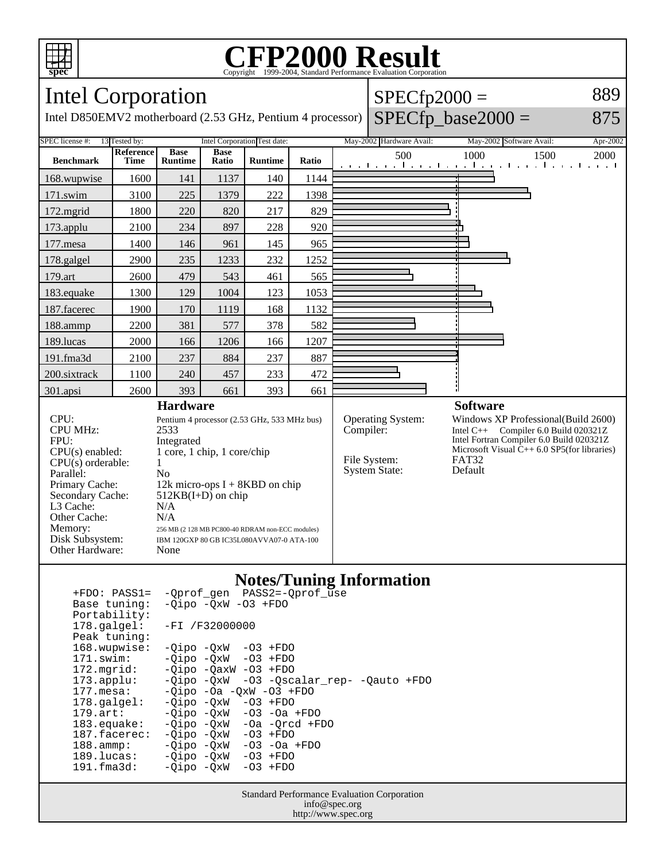

### **CFP2000 Result** Copyright ©1999-2004, Standard Performance Evaluati

#### Intel Corporation Intel D850EMV2 motherboard (2.53 GHz, Pentium 4 processor)  $SPECfp2000 =$  $SPECfp\_base2000 =$ 889 875 SPEC license #: 13 Tested by: Intel Corporation Test date: May-2002 Hardware Avail: May-2002 Software Avail: Apr-2002 **Benchmark Reference Time Base Runtime Base Ratio Runtime Ratio** 500 1000 1500 2000 168.wupwise 1600 141 1137 140 1144 171.swim | 3100 | 225 | 1379 | 222 | 1398 172.mgrid | 1800 | 220 | 820 | 217 | 829 173.applu | 2100 | 234 | 897 | 228 | 920 177.mesa | 1400 | 146 | 961 | 145 | 965 178.galgel 2900 235 1233 232 1252 179.art | 2600 | 479 | 543 | 461 | 565 183.equake 1300 129 1004 123 1053 187.facerec | 1900 | 170 | 1119 | 168 | 1132 188.ammp | 2200 | 381 | 577 | 378 | 582 189.lucas | 2000 | 166 | 1206 | 166 | 1207 191.fma3d 2100 237 884 237 887 200.sixtrack 1100 240 457 233 472 301.apsi 2600 393 661 393 661 **Hardware** CPU: Pentium 4 processor (2.53 GHz, 533 MHz bus) CPU MHz: 2533 FPU: Integrated<br>CPU(s) enabled: 1 core, 1 c  $1$  core,  $1$  chip,  $1$  core/chip  $CPU(s)$  orderable:  $1$ Parallel: No<br>Primary Cache: 12k 12k micro-ops  $I + 8KBD$  on chip Secondary Cache: 512KB(I+D) on chip L3 Cache: N/A<br>Other Cache: N/A Other Cache:<br>Memory: 256 MB (2 128 MB PC800-40 RDRAM non-ECC modules) Disk Subsystem: IBM 120GXP 80 GB IC35L080AVVA07-0 ATA-100 Other Hardware: None **Software** Operating System: Windows XP Professional(Build 2600)<br>Compiler: Intel C++ Compiler 6.0 Build 020321Z Intel  $C_{++}$  Compiler 6.0 Build 020321Z Intel Fortran Compiler 6.0 Build 020321Z Microsoft Visual  $\hat{C}_{++}$  6.0 SP5(for libraries)<br>FAT32 File System: FAT32<br>System State: Default System State:

### **Notes/Tuning Information**

| $+FDO: PASS1=$         | -Oprof gen PASS2=-Oprof use              |
|------------------------|------------------------------------------|
| Base tuning:           | $-Qipo -QxW -O3 + FDO$                   |
| Portability:           |                                          |
| $178.\texttt{qalqel}:$ | $-FI / F32000000$                        |
| Peak tuning:           |                                          |
| 168.wupwise:           | $-Oipo -OXW -O3 + FDO$                   |
| $171$ .swim:           | $-Oipo$ $-OxW$ $-O3$ $+FDO$              |
| $172.\mathtt{mgrid}:$  | $-Oipo$ $-OaxW$ $-O3$ $+FDO$             |
| $173.appendu$ :        | -Qipo -QxW -03 -Qscalar rep- -Qauto +FDO |
| $177.$ mesa:           | $-Oipo -Oa -OXW -O3 + FDO$               |
| $178$ .galgel:         | $-Oipo -OXW - O3 + FDO$                  |
| $179.\text{art}$ :     | $-Oipo$ $-OxW$ $-O3$ $-Oa$ $+FDO$        |
| $183$ . equake:        | $-Oipo$ $-OxW$ $-Oa$ $-Orcd$ $+FDO$      |
| 187.facerec:           | -Oipo -OxW<br>$-03$ +FDO                 |
| $188.\text{ammp}:$     | -Oipo -OxW<br>-03 -0a +FD0               |
| 189.lucas:             | $-Oipo$ $-OxW$ $-O3$ $+FDO$              |
| $191.f$ ma $3d:$       | -Oipo -OxW<br>$-03$ +FDO                 |
|                        |                                          |

Standard Performance Evaluation Corporation info@spec.org http://www.spec.org